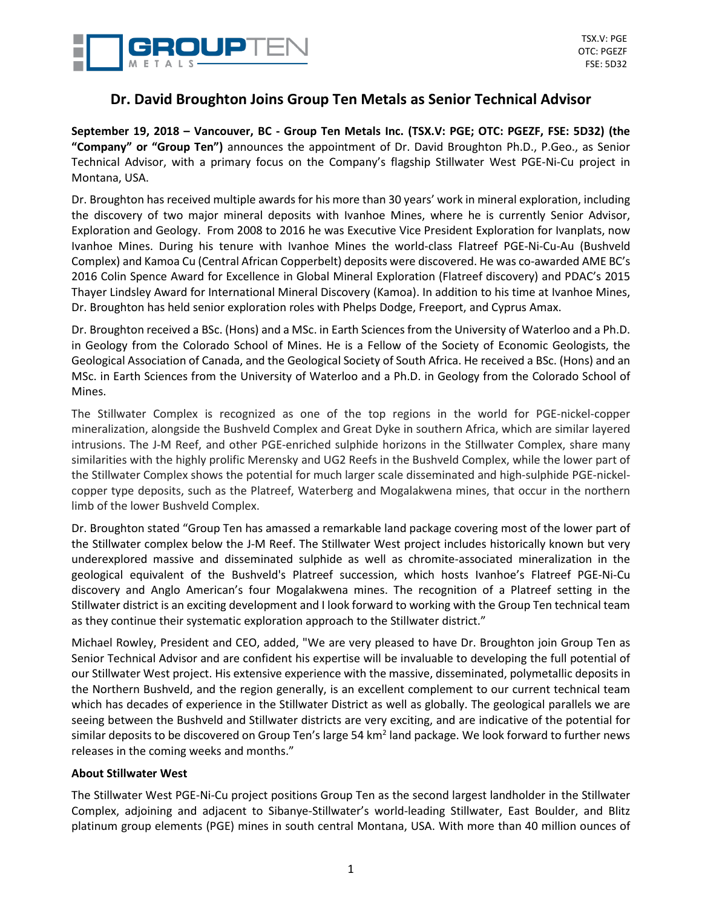

## **Dr. David Broughton Joins Group Ten Metals as Senior Technical Advisor**

September 19, 2018 - Vancouver, BC - Group Ten Metals Inc. (TSX.V: PGE; OTC: PGEZF, FSE: 5D32) (the **"Company" or "Group Ten")** announces the appointment of Dr. David Broughton Ph.D., P.Geo., as Senior Technical Advisor, with a primary focus on the Company's flagship Stillwater West PGE-Ni-Cu project in Montana, USA.

Dr. Broughton has received multiple awards for his more than 30 years' work in mineral exploration, including the discovery of two major mineral deposits with Ivanhoe Mines, where he is currently Senior Advisor, Exploration and Geology. From 2008 to 2016 he was Executive Vice President Exploration for Ivanplats, now Ivanhoe Mines. During his tenure with Ivanhoe Mines the world-class Flatreef PGE-Ni-Cu-Au (Bushveld Complex) and Kamoa Cu (Central African Copperbelt) deposits were discovered. He was co-awarded AME BC's 2016 Colin Spence Award for Excellence in Global Mineral Exploration (Flatreef discovery) and PDAC's 2015 Thayer Lindsley Award for International Mineral Discovery (Kamoa). In addition to his time at Ivanhoe Mines, Dr. Broughton has held senior exploration roles with Phelps Dodge, Freeport, and Cyprus Amax.

Dr. Broughton received a BSc. (Hons) and a MSc. in Earth Sciences from the University of Waterloo and a Ph.D. in Geology from the Colorado School of Mines. He is a Fellow of the Society of Economic Geologists, the Geological Association of Canada, and the Geological Society of South Africa. He received a BSc. (Hons) and an MSc. in Earth Sciences from the University of Waterloo and a Ph.D. in Geology from the Colorado School of Mines.

The Stillwater Complex is recognized as one of the top regions in the world for PGE-nickel-copper mineralization, alongside the Bushveld Complex and Great Dyke in southern Africa, which are similar layered intrusions. The J-M Reef, and other PGE-enriched sulphide horizons in the Stillwater Complex, share many similarities with the highly prolific Merensky and UG2 Reefs in the Bushveld Complex, while the lower part of the Stillwater Complex shows the potential for much larger scale disseminated and high-sulphide PGE-nickelcopper type deposits, such as the Platreef, Waterberg and Mogalakwena mines, that occur in the northern limb of the lower Bushveld Complex.

Dr. Broughton stated "Group Ten has amassed a remarkable land package covering most of the lower part of the Stillwater complex below the J-M Reef. The Stillwater West project includes historically known but very underexplored massive and disseminated sulphide as well as chromite-associated mineralization in the geological equivalent of the Bushveld's Platreef succession, which hosts Ivanhoe's Flatreef PGE-Ni-Cu discovery and Anglo American's four Mogalakwena mines. The recognition of a Platreef setting in the Stillwater district is an exciting development and I look forward to working with the Group Ten technical team as they continue their systematic exploration approach to the Stillwater district."

Michael Rowley, President and CEO, added, "We are very pleased to have Dr. Broughton join Group Ten as Senior Technical Advisor and are confident his expertise will be invaluable to developing the full potential of our Stillwater West project. His extensive experience with the massive, disseminated, polymetallic deposits in the Northern Bushveld, and the region generally, is an excellent complement to our current technical team which has decades of experience in the Stillwater District as well as globally. The geological parallels we are seeing between the Bushveld and Stillwater districts are very exciting, and are indicative of the potential for similar deposits to be discovered on Group Ten's large 54 km<sup>2</sup> land package. We look forward to further news releases in the coming weeks and months."

## **About Stillwater West**

The Stillwater West PGE-Ni-Cu project positions Group Ten as the second largest landholder in the Stillwater Complex, adjoining and adjacent to Sibanye-Stillwater's world-leading Stillwater, East Boulder, and Blitz platinum group elements (PGE) mines in south central Montana, USA. With more than 40 million ounces of